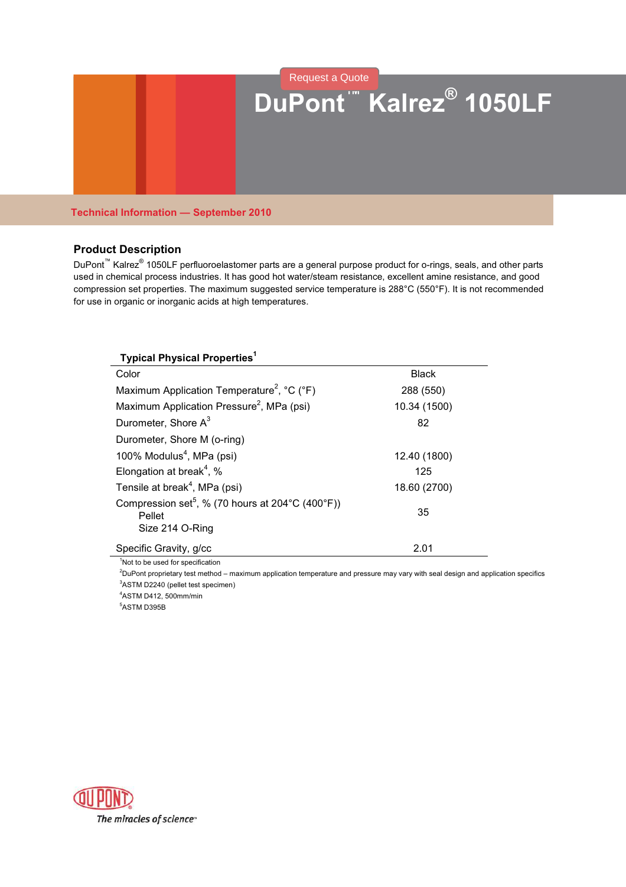# **DuPont™ Kalrez® 1050LF** [Request a Quote](http://www.marcorubber.com/contact_quote.htm?material=Kalrez+1050LF)

# **Technical Information — September 2010**

# **Product Description**

DuPont<sup>™</sup> Kalrez<sup>®</sup> 1050LF perfluoroelastomer parts are a general purpose product for o-rings, seals, and other parts used in chemical process industries. It has good hot water/steam resistance, excellent amine resistance, and good compression set properties. The maximum suggested service temperature is 288°C (550°F). It is not recommended for use in organic or inorganic acids at high temperatures.

| <b>Typical Physical Properties1</b>                                                         |              |  |
|---------------------------------------------------------------------------------------------|--------------|--|
| Color                                                                                       | <b>Black</b> |  |
| Maximum Application Temperature <sup>2</sup> , °C (°F)                                      | 288 (550)    |  |
| Maximum Application Pressure <sup>2</sup> , MPa (psi)                                       | 10.34 (1500) |  |
| Durometer, Shore A <sup>3</sup>                                                             | 82           |  |
| Durometer, Shore M (o-ring)                                                                 |              |  |
| 100% Modulus <sup>4</sup> , MPa (psi)                                                       | 12.40 (1800) |  |
| Elongation at break <sup>4</sup> , %                                                        | 125          |  |
| Tensile at break <sup>4</sup> , MPa (psi)                                                   | 18.60 (2700) |  |
| Compression set <sup>5</sup> , % (70 hours at 204 °C (400 °F))<br>Pellet<br>Size 214 O-Ring | 35           |  |
| Specific Gravity, g/cc                                                                      | 2.01         |  |

<sup>1</sup>Not to be used for specification

<sup>2</sup>DuPont proprietary test method – maximum application temperature and pressure may vary with seal design and application specifics <sup>3</sup>ASTM D2240 (pellet test specimen)

<sup>4</sup>ASTM D412, 500mm/min

<sup>5</sup>ASTM D395B